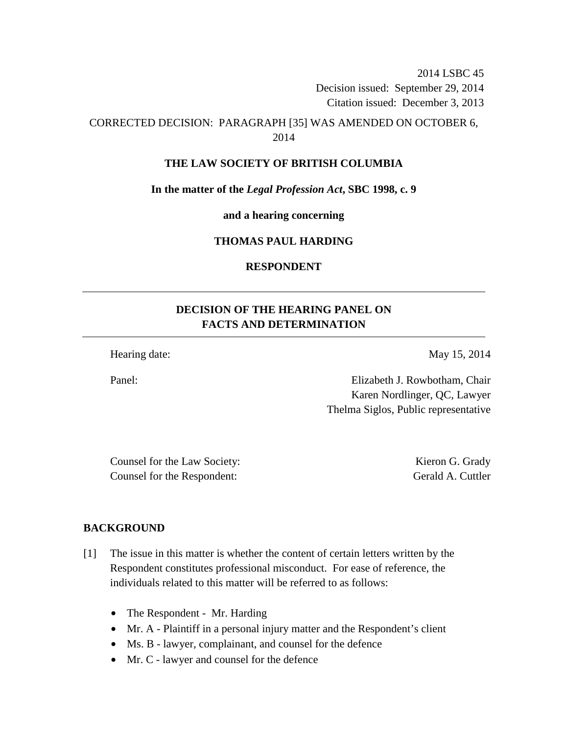2014 LSBC 45 Decision issued: September 29, 2014 Citation issued: December 3, 2013

## CORRECTED DECISION: PARAGRAPH [35] WAS AMENDED ON OCTOBER 6, 2014

#### **THE LAW SOCIETY OF BRITISH COLUMBIA**

**In the matter of the** *Legal Profession Act***, SBC 1998, c. 9** 

**and a hearing concerning** 

### **THOMAS PAUL HARDING**

#### **RESPONDENT**

# **DECISION OF THE HEARING PANEL ON FACTS AND DETERMINATION**

Hearing date: May 15, 2014

Panel: Elizabeth J. Rowbotham, Chair Karen Nordlinger, QC, Lawyer Thelma Siglos, Public representative

Counsel for the Law Society: Kieron G. Grady Counsel for the Respondent: Gerald A. Cuttler

### **BACKGROUND**

- [1] The issue in this matter is whether the content of certain letters written by the Respondent constitutes professional misconduct. For ease of reference, the individuals related to this matter will be referred to as follows:
	- The Respondent Mr. Harding
	- Mr. A Plaintiff in a personal injury matter and the Respondent's client
	- Ms. B lawyer, complainant, and counsel for the defence
	- Mr. C lawyer and counsel for the defence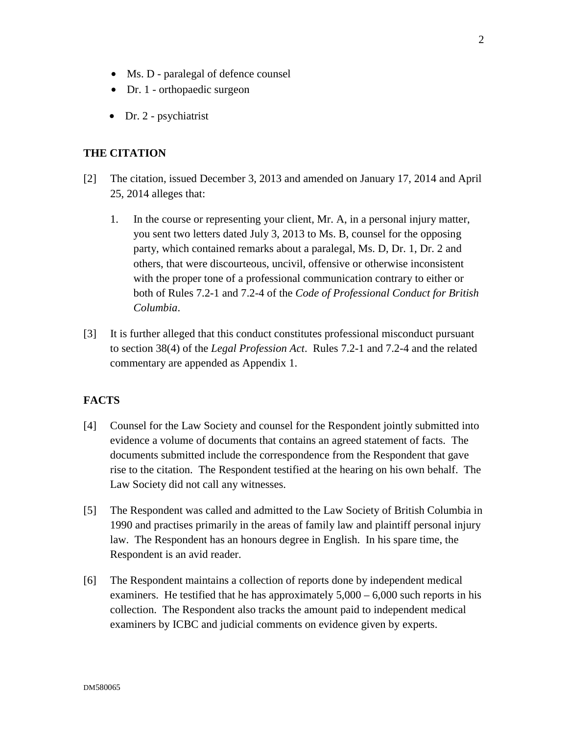- Ms. D paralegal of defence counsel
- Dr. 1 orthopaedic surgeon
- Dr. 2 psychiatrist

## **THE CITATION**

- [2] The citation, issued December 3, 2013 and amended on January 17, 2014 and April 25, 2014 alleges that:
	- 1. In the course or representing your client, Mr. A, in a personal injury matter, you sent two letters dated July 3, 2013 to Ms. B, counsel for the opposing party, which contained remarks about a paralegal, Ms. D, Dr. 1, Dr. 2 and others, that were discourteous, uncivil, offensive or otherwise inconsistent with the proper tone of a professional communication contrary to either or both of Rules 7.2-1 and 7.2-4 of the *Code of Professional Conduct for British Columbia*.
- [3] It is further alleged that this conduct constitutes professional misconduct pursuant to section 38(4) of the *Legal Profession Act*. Rules 7.2-1 and 7.2-4 and the related commentary are appended as Appendix 1.

#### **FACTS**

- [4] Counsel for the Law Society and counsel for the Respondent jointly submitted into evidence a volume of documents that contains an agreed statement of facts. The documents submitted include the correspondence from the Respondent that gave rise to the citation. The Respondent testified at the hearing on his own behalf. The Law Society did not call any witnesses.
- [5] The Respondent was called and admitted to the Law Society of British Columbia in 1990 and practises primarily in the areas of family law and plaintiff personal injury law. The Respondent has an honours degree in English. In his spare time, the Respondent is an avid reader.
- [6] The Respondent maintains a collection of reports done by independent medical examiners. He testified that he has approximately  $5,000 - 6,000$  such reports in his collection. The Respondent also tracks the amount paid to independent medical examiners by ICBC and judicial comments on evidence given by experts.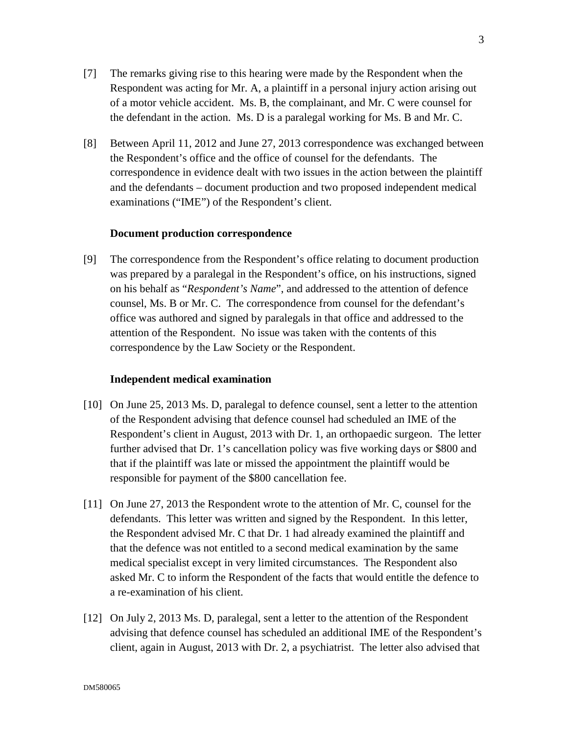- [7] The remarks giving rise to this hearing were made by the Respondent when the Respondent was acting for Mr. A, a plaintiff in a personal injury action arising out of a motor vehicle accident. Ms. B, the complainant, and Mr. C were counsel for the defendant in the action. Ms. D is a paralegal working for Ms. B and Mr. C.
- [8] Between April 11, 2012 and June 27, 2013 correspondence was exchanged between the Respondent's office and the office of counsel for the defendants. The correspondence in evidence dealt with two issues in the action between the plaintiff and the defendants – document production and two proposed independent medical examinations ("IME") of the Respondent's client.

#### **Document production correspondence**

[9] The correspondence from the Respondent's office relating to document production was prepared by a paralegal in the Respondent's office, on his instructions, signed on his behalf as "*Respondent's Name*", and addressed to the attention of defence counsel, Ms. B or Mr. C. The correspondence from counsel for the defendant's office was authored and signed by paralegals in that office and addressed to the attention of the Respondent. No issue was taken with the contents of this correspondence by the Law Society or the Respondent.

#### **Independent medical examination**

- [10] On June 25, 2013 Ms. D, paralegal to defence counsel, sent a letter to the attention of the Respondent advising that defence counsel had scheduled an IME of the Respondent's client in August, 2013 with Dr. 1, an orthopaedic surgeon. The letter further advised that Dr. 1's cancellation policy was five working days or \$800 and that if the plaintiff was late or missed the appointment the plaintiff would be responsible for payment of the \$800 cancellation fee.
- [11] On June 27, 2013 the Respondent wrote to the attention of Mr. C, counsel for the defendants. This letter was written and signed by the Respondent. In this letter, the Respondent advised Mr. C that Dr. 1 had already examined the plaintiff and that the defence was not entitled to a second medical examination by the same medical specialist except in very limited circumstances. The Respondent also asked Mr. C to inform the Respondent of the facts that would entitle the defence to a re-examination of his client.
- [12] On July 2, 2013 Ms. D, paralegal, sent a letter to the attention of the Respondent advising that defence counsel has scheduled an additional IME of the Respondent's client, again in August, 2013 with Dr. 2, a psychiatrist. The letter also advised that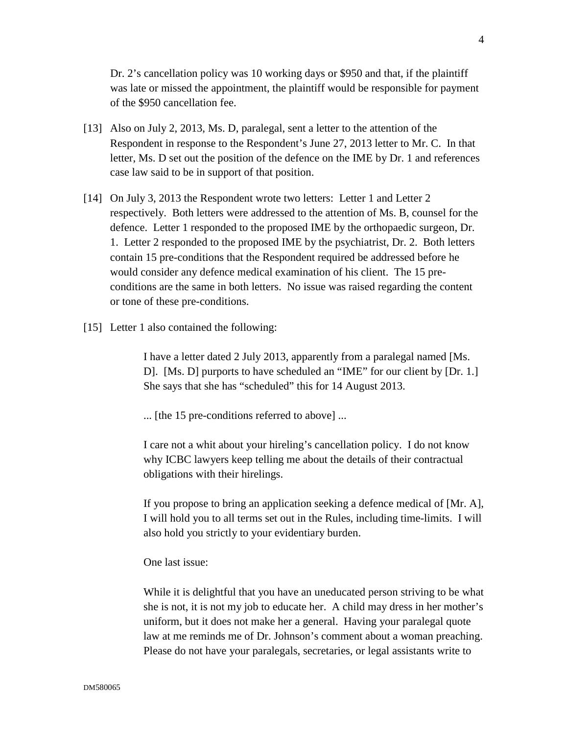Dr. 2's cancellation policy was 10 working days or \$950 and that, if the plaintiff was late or missed the appointment, the plaintiff would be responsible for payment of the \$950 cancellation fee.

- [13] Also on July 2, 2013, Ms. D, paralegal, sent a letter to the attention of the Respondent in response to the Respondent's June 27, 2013 letter to Mr. C. In that letter, Ms. D set out the position of the defence on the IME by Dr. 1 and references case law said to be in support of that position.
- [14] On July 3, 2013 the Respondent wrote two letters: Letter 1 and Letter 2 respectively. Both letters were addressed to the attention of Ms. B, counsel for the defence. Letter 1 responded to the proposed IME by the orthopaedic surgeon, Dr. 1. Letter 2 responded to the proposed IME by the psychiatrist, Dr. 2. Both letters contain 15 pre-conditions that the Respondent required be addressed before he would consider any defence medical examination of his client. The 15 preconditions are the same in both letters. No issue was raised regarding the content or tone of these pre-conditions.
- [15] Letter 1 also contained the following:

I have a letter dated 2 July 2013, apparently from a paralegal named [Ms. D]. [Ms. D] purports to have scheduled an "IME" for our client by [Dr. 1.] She says that she has "scheduled" this for 14 August 2013.

... [the 15 pre-conditions referred to above] ...

I care not a whit about your hireling's cancellation policy. I do not know why ICBC lawyers keep telling me about the details of their contractual obligations with their hirelings.

If you propose to bring an application seeking a defence medical of [Mr. A], I will hold you to all terms set out in the Rules, including time-limits. I will also hold you strictly to your evidentiary burden.

One last issue:

While it is delightful that you have an uneducated person striving to be what she is not, it is not my job to educate her. A child may dress in her mother's uniform, but it does not make her a general. Having your paralegal quote law at me reminds me of Dr. Johnson's comment about a woman preaching. Please do not have your paralegals, secretaries, or legal assistants write to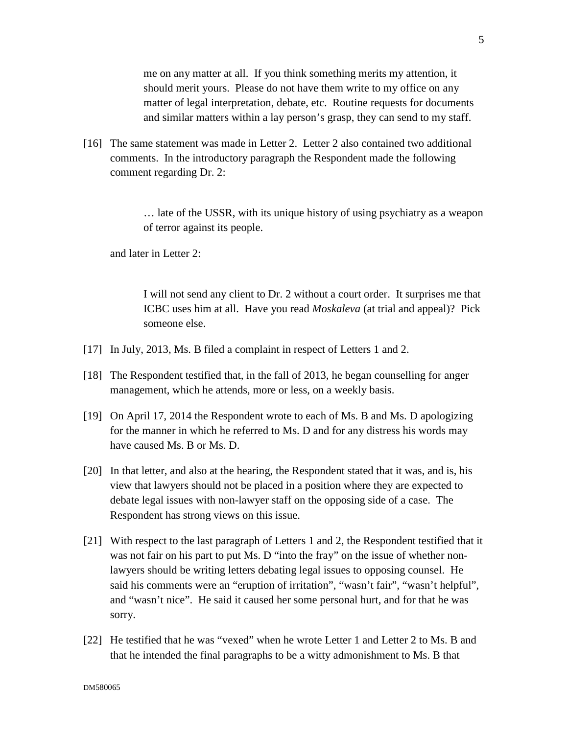me on any matter at all. If you think something merits my attention, it should merit yours. Please do not have them write to my office on any matter of legal interpretation, debate, etc. Routine requests for documents and similar matters within a lay person's grasp, they can send to my staff.

[16] The same statement was made in Letter 2. Letter 2 also contained two additional comments. In the introductory paragraph the Respondent made the following comment regarding Dr. 2:

> … late of the USSR, with its unique history of using psychiatry as a weapon of terror against its people.

and later in Letter 2:

I will not send any client to Dr. 2 without a court order. It surprises me that ICBC uses him at all. Have you read *Moskaleva* (at trial and appeal)? Pick someone else.

- [17] In July, 2013, Ms. B filed a complaint in respect of Letters 1 and 2.
- [18] The Respondent testified that, in the fall of 2013, he began counselling for anger management, which he attends, more or less, on a weekly basis.
- [19] On April 17, 2014 the Respondent wrote to each of Ms. B and Ms. D apologizing for the manner in which he referred to Ms. D and for any distress his words may have caused Ms. B or Ms. D.
- [20] In that letter, and also at the hearing, the Respondent stated that it was, and is, his view that lawyers should not be placed in a position where they are expected to debate legal issues with non-lawyer staff on the opposing side of a case. The Respondent has strong views on this issue.
- [21] With respect to the last paragraph of Letters 1 and 2, the Respondent testified that it was not fair on his part to put Ms. D "into the fray" on the issue of whether nonlawyers should be writing letters debating legal issues to opposing counsel. He said his comments were an "eruption of irritation", "wasn't fair", "wasn't helpful", and "wasn't nice". He said it caused her some personal hurt, and for that he was sorry.
- [22] He testified that he was "vexed" when he wrote Letter 1 and Letter 2 to Ms. B and that he intended the final paragraphs to be a witty admonishment to Ms. B that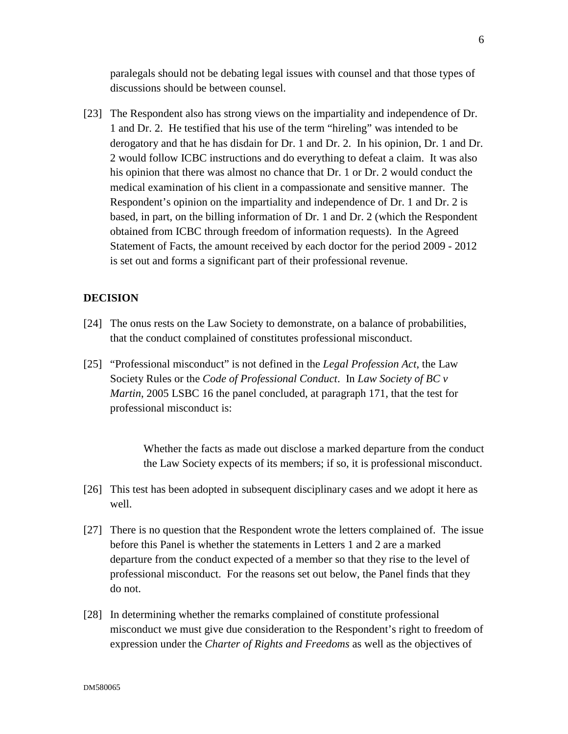paralegals should not be debating legal issues with counsel and that those types of discussions should be between counsel.

[23] The Respondent also has strong views on the impartiality and independence of Dr. 1 and Dr. 2. He testified that his use of the term "hireling" was intended to be derogatory and that he has disdain for Dr. 1 and Dr. 2. In his opinion, Dr. 1 and Dr. 2 would follow ICBC instructions and do everything to defeat a claim. It was also his opinion that there was almost no chance that Dr. 1 or Dr. 2 would conduct the medical examination of his client in a compassionate and sensitive manner. The Respondent's opinion on the impartiality and independence of Dr. 1 and Dr. 2 is based, in part, on the billing information of Dr. 1 and Dr. 2 (which the Respondent obtained from ICBC through freedom of information requests). In the Agreed Statement of Facts, the amount received by each doctor for the period 2009 - 2012 is set out and forms a significant part of their professional revenue.

#### **DECISION**

- [24] The onus rests on the Law Society to demonstrate, on a balance of probabilities, that the conduct complained of constitutes professional misconduct.
- [25] "Professional misconduct" is not defined in the *Legal Profession Act*, the Law Society Rules or the *Code of Professional Conduct*. In *Law Society of BC v Martin*, 2005 LSBC 16 the panel concluded, at paragraph 171, that the test for professional misconduct is:

Whether the facts as made out disclose a marked departure from the conduct the Law Society expects of its members; if so, it is professional misconduct.

- [26] This test has been adopted in subsequent disciplinary cases and we adopt it here as well.
- [27] There is no question that the Respondent wrote the letters complained of. The issue before this Panel is whether the statements in Letters 1 and 2 are a marked departure from the conduct expected of a member so that they rise to the level of professional misconduct. For the reasons set out below, the Panel finds that they do not.
- [28] In determining whether the remarks complained of constitute professional misconduct we must give due consideration to the Respondent's right to freedom of expression under the *Charter of Rights and Freedoms* as well as the objectives of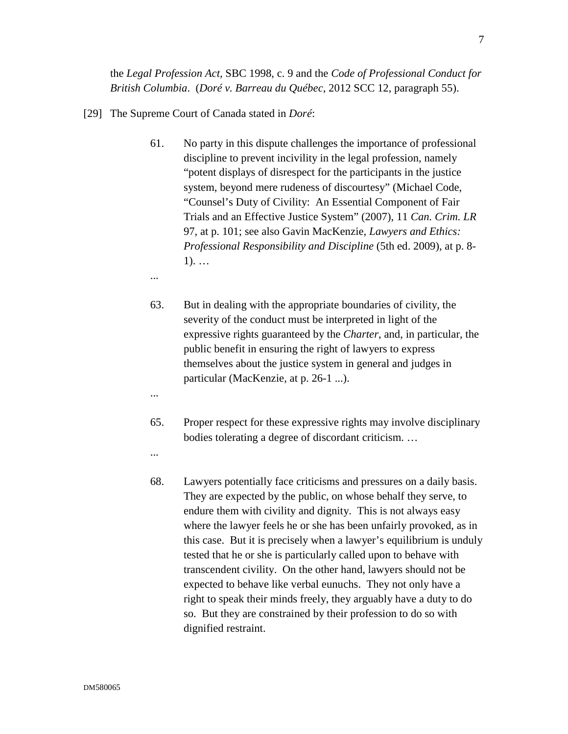the *Legal Profession Act,* SBC 1998, c. 9 and the *Code of Professional Conduct for British Columbia*. (*Doré v. Barreau du Québec*, 2012 SCC 12, paragraph 55).

- [29] The Supreme Court of Canada stated in *Doré*:
	- 61. No party in this dispute challenges the importance of professional discipline to prevent incivility in the legal profession, namely "potent displays of disrespect for the participants in the justice system, beyond mere rudeness of discourtesy" (Michael Code, "Counsel's Duty of Civility: An Essential Component of Fair Trials and an Effective Justice System" (2007), 11 *Can. Crim. LR* 97, at p. 101; see also Gavin MacKenzie, *Lawyers and Ethics: Professional Responsibility and Discipline* (5th ed. 2009), at p. 8- 1). …
	- ...
	- 63. But in dealing with the appropriate boundaries of civility, the severity of the conduct must be interpreted in light of the expressive rights guaranteed by the *Charter*, and, in particular, the public benefit in ensuring the right of lawyers to express themselves about the justice system in general and judges in particular (MacKenzie, at p. 26-1 ...).
	- 65. Proper respect for these expressive rights may involve disciplinary bodies tolerating a degree of discordant criticism. …
	- ...

...

68. Lawyers potentially face criticisms and pressures on a daily basis. They are expected by the public, on whose behalf they serve, to endure them with civility and dignity. This is not always easy where the lawyer feels he or she has been unfairly provoked, as in this case. But it is precisely when a lawyer's equilibrium is unduly tested that he or she is particularly called upon to behave with transcendent civility. On the other hand, lawyers should not be expected to behave like verbal eunuchs. They not only have a right to speak their minds freely, they arguably have a duty to do so. But they are constrained by their profession to do so with dignified restraint.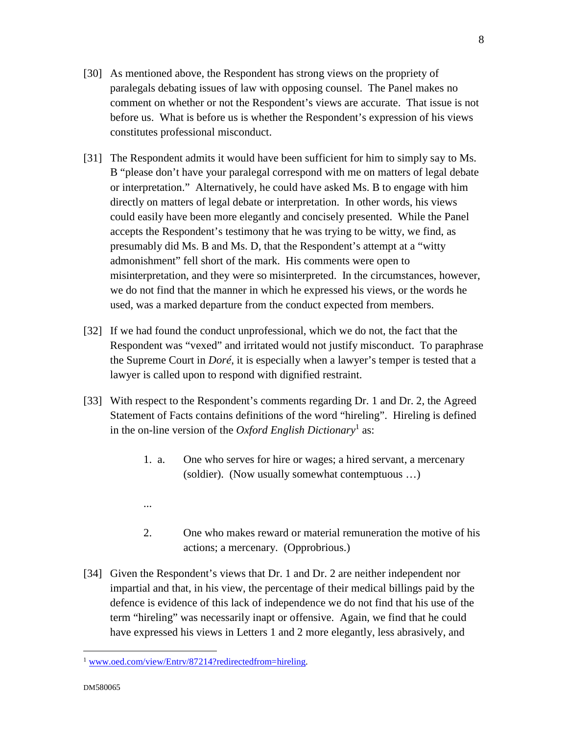- [30] As mentioned above, the Respondent has strong views on the propriety of paralegals debating issues of law with opposing counsel. The Panel makes no comment on whether or not the Respondent's views are accurate. That issue is not before us. What is before us is whether the Respondent's expression of his views constitutes professional misconduct.
- [31] The Respondent admits it would have been sufficient for him to simply say to Ms. B "please don't have your paralegal correspond with me on matters of legal debate or interpretation." Alternatively, he could have asked Ms. B to engage with him directly on matters of legal debate or interpretation. In other words, his views could easily have been more elegantly and concisely presented. While the Panel accepts the Respondent's testimony that he was trying to be witty, we find, as presumably did Ms. B and Ms. D, that the Respondent's attempt at a "witty admonishment" fell short of the mark. His comments were open to misinterpretation, and they were so misinterpreted. In the circumstances, however, we do not find that the manner in which he expressed his views, or the words he used, was a marked departure from the conduct expected from members.
- [32] If we had found the conduct unprofessional, which we do not, the fact that the Respondent was "vexed" and irritated would not justify misconduct. To paraphrase the Supreme Court in *Doré*, it is especially when a lawyer's temper is tested that a lawyer is called upon to respond with dignified restraint.
- [33] With respect to the Respondent's comments regarding Dr. 1 and Dr. 2, the Agreed Statement of Facts contains definitions of the word "hireling". Hireling is defined in the on-line version of the *Oxford English Dictionary*<sup>1</sup> as:
	- 1. a. One who serves for hire or wages; a hired servant, a mercenary (soldier). (Now usually somewhat contemptuous …)
	- ...
	- 2. One who makes reward or material remuneration the motive of his actions; a mercenary. (Opprobrious.)
- [34] Given the Respondent's views that Dr. 1 and Dr. 2 are neither independent nor impartial and that, in his view, the percentage of their medical billings paid by the defence is evidence of this lack of independence we do not find that his use of the term "hireling" was necessarily inapt or offensive. Again, we find that he could have expressed his views in Letters 1 and 2 more elegantly, less abrasively, and

<u>.</u>

<sup>&</sup>lt;sup>1</sup> www.oed.com/view/Entrv/87214?redirectedfrom=hireling.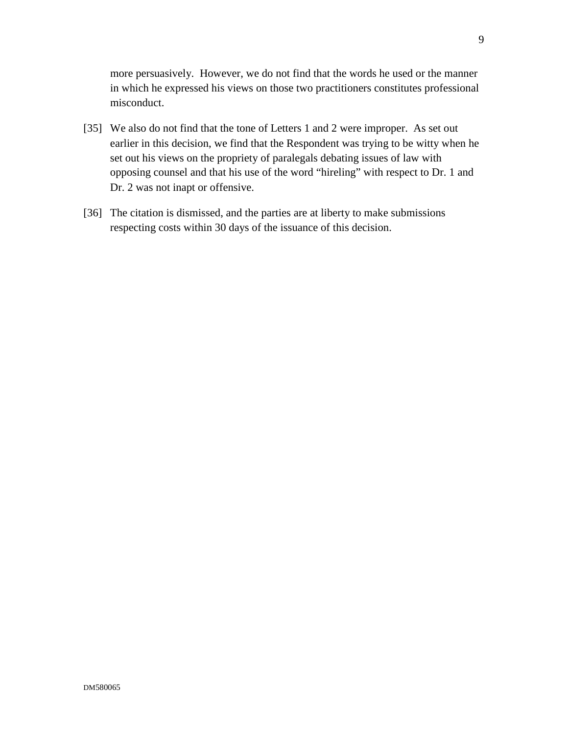more persuasively. However, we do not find that the words he used or the manner in which he expressed his views on those two practitioners constitutes professional misconduct.

- [35] We also do not find that the tone of Letters 1 and 2 were improper. As set out earlier in this decision, we find that the Respondent was trying to be witty when he set out his views on the propriety of paralegals debating issues of law with opposing counsel and that his use of the word "hireling" with respect to Dr. 1 and Dr. 2 was not inapt or offensive.
- [36] The citation is dismissed, and the parties are at liberty to make submissions respecting costs within 30 days of the issuance of this decision.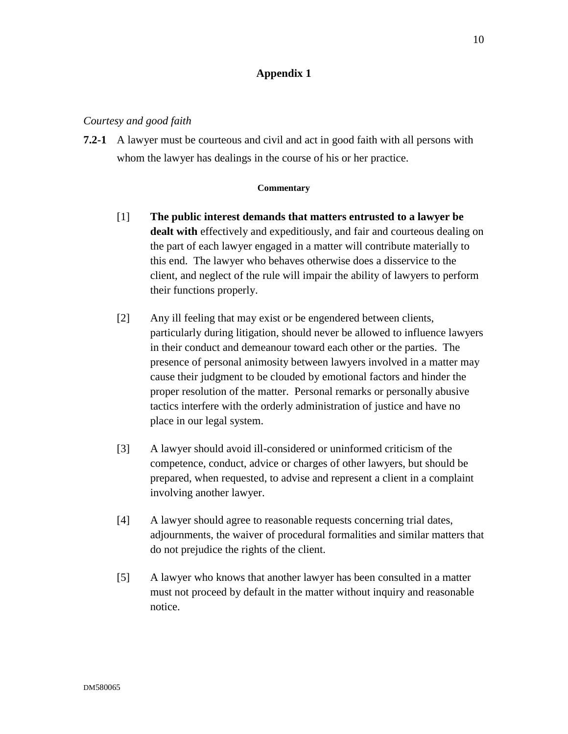## **Appendix 1**

#### *Courtesy and good faith*

**7.2-1** A lawyer must be courteous and civil and act in good faith with all persons with whom the lawyer has dealings in the course of his or her practice.

#### **Commentary**

- [1] **The public interest demands that matters entrusted to a lawyer be dealt with** effectively and expeditiously, and fair and courteous dealing on the part of each lawyer engaged in a matter will contribute materially to this end. The lawyer who behaves otherwise does a disservice to the client, and neglect of the rule will impair the ability of lawyers to perform their functions properly.
- [2] Any ill feeling that may exist or be engendered between clients, particularly during litigation, should never be allowed to influence lawyers in their conduct and demeanour toward each other or the parties. The presence of personal animosity between lawyers involved in a matter may cause their judgment to be clouded by emotional factors and hinder the proper resolution of the matter. Personal remarks or personally abusive tactics interfere with the orderly administration of justice and have no place in our legal system.
- [3] A lawyer should avoid ill-considered or uninformed criticism of the competence, conduct, advice or charges of other lawyers, but should be prepared, when requested, to advise and represent a client in a complaint involving another lawyer.
- [4] A lawyer should agree to reasonable requests concerning trial dates, adjournments, the waiver of procedural formalities and similar matters that do not prejudice the rights of the client.
- [5] A lawyer who knows that another lawyer has been consulted in a matter must not proceed by default in the matter without inquiry and reasonable notice.